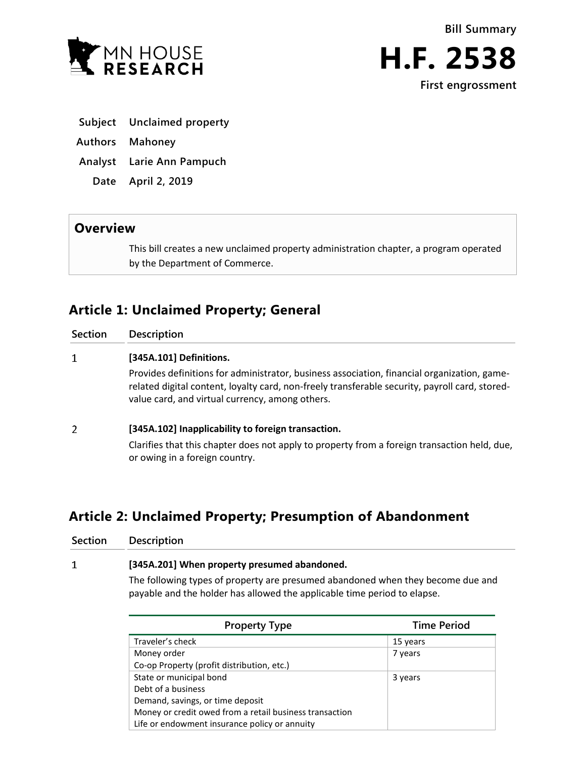



**H.F. 2538 First engrossment**

- **Subject Unclaimed property**
- **Authors Mahoney**
- **Analyst Larie Ann Pampuch**
	- **Date April 2, 2019**

## **Overview**

This bill creates a new unclaimed property administration chapter, a program operated by the Department of Commerce.

# **Article 1: Unclaimed Property; General**

| <b>Section</b> | <b>Description</b>                                                                                                                                                                                                                               |
|----------------|--------------------------------------------------------------------------------------------------------------------------------------------------------------------------------------------------------------------------------------------------|
|                | [345A.101] Definitions.                                                                                                                                                                                                                          |
|                | Provides definitions for administrator, business association, financial organization, game-<br>related digital content, loyalty card, non-freely transferable security, payroll card, stored-<br>value card, and virtual currency, among others. |
| 2              | [345A.102] Inapplicability to foreign transaction.                                                                                                                                                                                               |

Clarifies that this chapter does not apply to property from a foreign transaction held, due, or owing in a foreign country.

# **Article 2: Unclaimed Property; Presumption of Abandonment**

| Section | Description                                                                     |  |
|---------|---------------------------------------------------------------------------------|--|
| 1       | [345A.201] When property presumed abandoned.                                    |  |
|         | The following types of property are presumed abandoned when they become due and |  |
|         | payable and the holder has allowed the applicable time period to elapse.        |  |

| <b>Property Type</b>                                    | <b>Time Period</b> |
|---------------------------------------------------------|--------------------|
| Traveler's check                                        | 15 years           |
| Money order                                             | 7 years            |
| Co-op Property (profit distribution, etc.)              |                    |
| State or municipal bond                                 | 3 years            |
| Debt of a business                                      |                    |
| Demand, savings, or time deposit                        |                    |
| Money or credit owed from a retail business transaction |                    |
| Life or endowment insurance policy or annuity           |                    |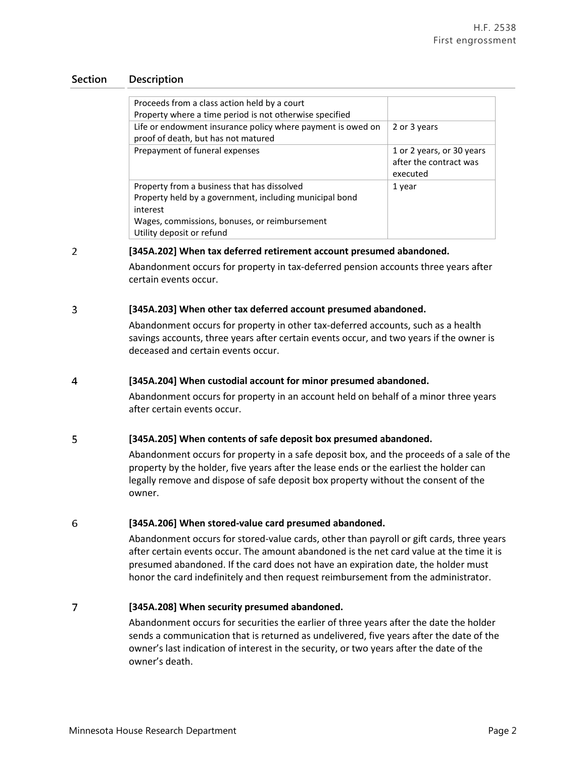| Proceeds from a class action held by a court                                                       |                                                                 |
|----------------------------------------------------------------------------------------------------|-----------------------------------------------------------------|
| Property where a time period is not otherwise specified                                            |                                                                 |
| Life or endowment insurance policy where payment is owed on<br>proof of death, but has not matured | 2 or 3 years                                                    |
| Prepayment of funeral expenses                                                                     | 1 or 2 years, or 30 years<br>after the contract was<br>executed |
| Property from a business that has dissolved                                                        | 1 year                                                          |
| Property held by a government, including municipal bond                                            |                                                                 |
| interest                                                                                           |                                                                 |
| Wages, commissions, bonuses, or reimbursement<br>Utility deposit or refund                         |                                                                 |

#### $\overline{2}$ **[345A.202] When tax deferred retirement account presumed abandoned.**

Abandonment occurs for property in tax-deferred pension accounts three years after certain events occur.

#### 3 **[345A.203] When other tax deferred account presumed abandoned.**

Abandonment occurs for property in other tax-deferred accounts, such as a health savings accounts, three years after certain events occur, and two years if the owner is deceased and certain events occur.

#### $\overline{4}$ **[345A.204] When custodial account for minor presumed abandoned.**

Abandonment occurs for property in an account held on behalf of a minor three years after certain events occur.

#### 5 **[345A.205] When contents of safe deposit box presumed abandoned.**

Abandonment occurs for property in a safe deposit box, and the proceeds of a sale of the property by the holder, five years after the lease ends or the earliest the holder can legally remove and dispose of safe deposit box property without the consent of the owner.

#### 6 **[345A.206] When stored-value card presumed abandoned.**

Abandonment occurs for stored-value cards, other than payroll or gift cards, three years after certain events occur. The amount abandoned is the net card value at the time it is presumed abandoned. If the card does not have an expiration date, the holder must honor the card indefinitely and then request reimbursement from the administrator.

#### $\overline{7}$ **[345A.208] When security presumed abandoned.**

Abandonment occurs for securities the earlier of three years after the date the holder sends a communication that is returned as undelivered, five years after the date of the owner's last indication of interest in the security, or two years after the date of the owner's death.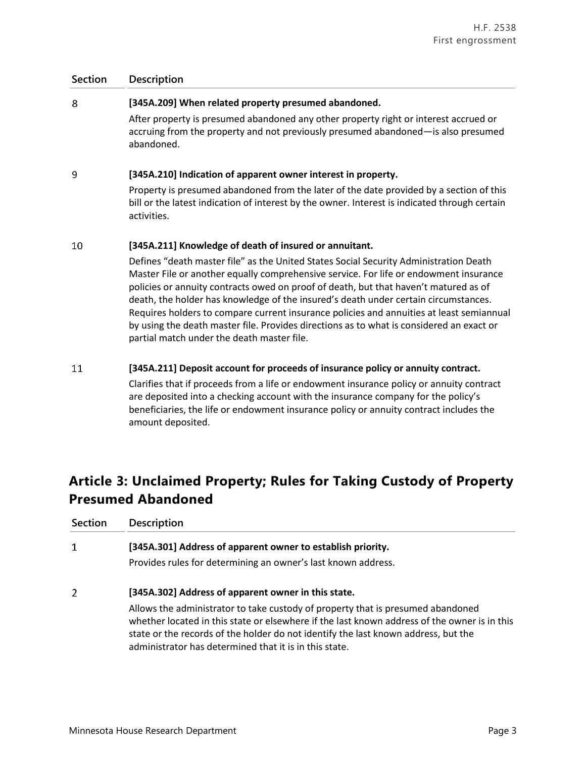#### 8 **[345A.209] When related property presumed abandoned.**

After property is presumed abandoned any other property right or interest accrued or accruing from the property and not previously presumed abandoned—is also presumed abandoned.

#### 9 **[345A.210] Indication of apparent owner interest in property.**

Property is presumed abandoned from the later of the date provided by a section of this bill or the latest indication of interest by the owner. Interest is indicated through certain activities.

#### 10 **[345A.211] Knowledge of death of insured or annuitant.**

Defines "death master file" as the United States Social Security Administration Death Master File or another equally comprehensive service. For life or endowment insurance policies or annuity contracts owed on proof of death, but that haven't matured as of death, the holder has knowledge of the insured's death under certain circumstances. Requires holders to compare current insurance policies and annuities at least semiannual by using the death master file. Provides directions as to what is considered an exact or partial match under the death master file.

#### 11 **[345A.211] Deposit account for proceeds of insurance policy or annuity contract.**

Clarifies that if proceeds from a life or endowment insurance policy or annuity contract are deposited into a checking account with the insurance company for the policy's beneficiaries, the life or endowment insurance policy or annuity contract includes the amount deposited.

# **Article 3: Unclaimed Property; Rules for Taking Custody of Property Presumed Abandoned**

| <b>Section</b> | <b>Description</b>                                                                                                                                                                                                                                                                                                              |  |
|----------------|---------------------------------------------------------------------------------------------------------------------------------------------------------------------------------------------------------------------------------------------------------------------------------------------------------------------------------|--|
| 1              | [345A.301] Address of apparent owner to establish priority.                                                                                                                                                                                                                                                                     |  |
|                | Provides rules for determining an owner's last known address.                                                                                                                                                                                                                                                                   |  |
| 2              | [345A.302] Address of apparent owner in this state.                                                                                                                                                                                                                                                                             |  |
|                | Allows the administrator to take custody of property that is presumed abandoned<br>whether located in this state or elsewhere if the last known address of the owner is in this<br>state or the records of the holder do not identify the last known address, but the<br>administrator has determined that it is in this state. |  |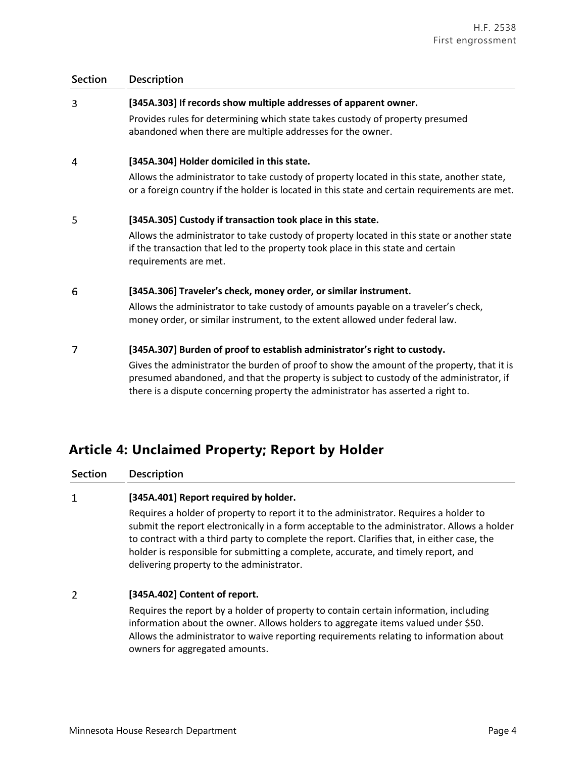## 3 **[345A.303] If records show multiple addresses of apparent owner.** Provides rules for determining which state takes custody of property presumed abandoned when there are multiple addresses for the owner. 4 **[345A.304] Holder domiciled in this state.** Allows the administrator to take custody of property located in this state, another state, or a foreign country if the holder is located in this state and certain requirements are met. 5 **[345A.305] Custody if transaction took place in this state.** Allows the administrator to take custody of property located in this state or another state if the transaction that led to the property took place in this state and certain requirements are met. 6 **[345A.306] Traveler's check, money order, or similar instrument.** Allows the administrator to take custody of amounts payable on a traveler's check, money order, or similar instrument, to the extent allowed under federal law. **[345A.307] Burden of proof to establish administrator's right to custody.**  $\overline{7}$ Gives the administrator the burden of proof to show the amount of the property, that it is presumed abandoned, and that the property is subject to custody of the administrator, if

there is a dispute concerning property the administrator has asserted a right to.

## **Article 4: Unclaimed Property; Report by Holder**

**Section Description**

#### $\mathbf{1}$ **[345A.401] Report required by holder.**

Requires a holder of property to report it to the administrator. Requires a holder to submit the report electronically in a form acceptable to the administrator. Allows a holder to contract with a third party to complete the report. Clarifies that, in either case, the holder is responsible for submitting a complete, accurate, and timely report, and delivering property to the administrator.

#### $\overline{2}$ **[345A.402] Content of report.**

Requires the report by a holder of property to contain certain information, including information about the owner. Allows holders to aggregate items valued under \$50. Allows the administrator to waive reporting requirements relating to information about owners for aggregated amounts.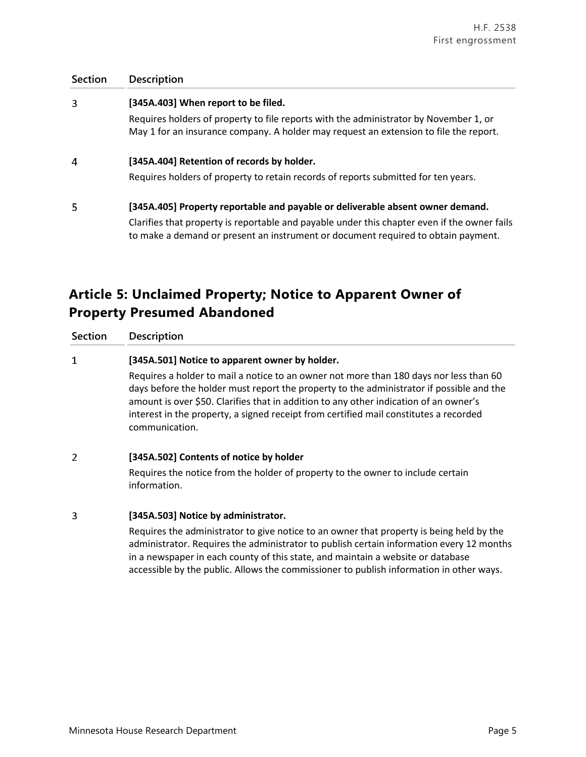| <b>Section</b> | Description                                                                                                                                                                       |  |
|----------------|-----------------------------------------------------------------------------------------------------------------------------------------------------------------------------------|--|
| 3              | [345A.403] When report to be filed.                                                                                                                                               |  |
|                | Requires holders of property to file reports with the administrator by November 1, or<br>May 1 for an insurance company. A holder may request an extension to file the report.    |  |
| 4              | [345A.404] Retention of records by holder.                                                                                                                                        |  |
|                | Requires holders of property to retain records of reports submitted for ten years.                                                                                                |  |
| 5              | [345A.405] Property reportable and payable or deliverable absent owner demand.                                                                                                    |  |
|                | Clarifies that property is reportable and payable under this chapter even if the owner fails<br>to make a demand or present an instrument or document required to obtain payment. |  |

# **Article 5: Unclaimed Property; Notice to Apparent Owner of Property Presumed Abandoned**

**Section Description**

#### $\mathbf{1}$ **[345A.501] Notice to apparent owner by holder.**

Requires a holder to mail a notice to an owner not more than 180 days nor less than 60 days before the holder must report the property to the administrator if possible and the amount is over \$50. Clarifies that in addition to any other indication of an owner's interest in the property, a signed receipt from certified mail constitutes a recorded communication.

#### $\overline{2}$ **[345A.502] Contents of notice by holder**

Requires the notice from the holder of property to the owner to include certain information.

#### $\mathbf{3}$ **[345A.503] Notice by administrator.**

Requires the administrator to give notice to an owner that property is being held by the administrator. Requires the administrator to publish certain information every 12 months in a newspaper in each county of this state, and maintain a website or database accessible by the public. Allows the commissioner to publish information in other ways.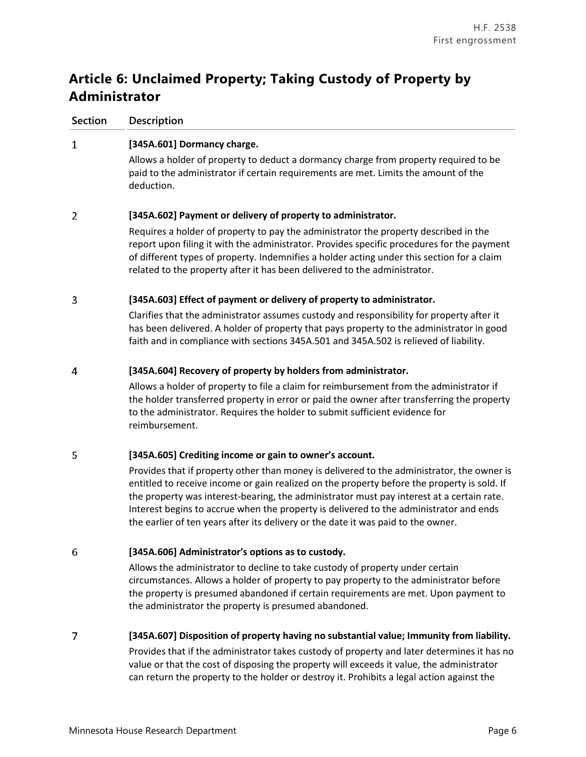# **Article 6: Unclaimed Property; Taking Custody of Property by Administrator**

**Section Description**

#### $\mathbf{1}$ **[345A.601] Dormancy charge.**

Allows a holder of property to deduct a dormancy charge from property required to be paid to the administrator if certain requirements are met. Limits the amount of the deduction.

#### $\overline{2}$ **[345A.602] Payment or delivery of property to administrator.**

Requires a holder of property to pay the administrator the property described in the report upon filing it with the administrator. Provides specific procedures for the payment of different types of property. Indemnifies a holder acting under this section for a claim related to the property after it has been delivered to the administrator.

#### 3 **[345A.603] Effect of payment or delivery of property to administrator.**

Clarifies that the administrator assumes custody and responsibility for property after it has been delivered. A holder of property that pays property to the administrator in good faith and in compliance with sections 345A.501 and 345A.502 is relieved of liability.

#### 4 **[345A.604] Recovery of property by holders from administrator.**

Allows a holder of property to file a claim for reimbursement from the administrator if the holder transferred property in error or paid the owner after transferring the property to the administrator. Requires the holder to submit sufficient evidence for reimbursement.

#### 5 **[345A.605] Crediting income or gain to owner's account.**

Provides that if property other than money is delivered to the administrator, the owner is entitled to receive income or gain realized on the property before the property is sold. If the property was interest-bearing, the administrator must pay interest at a certain rate. Interest begins to accrue when the property is delivered to the administrator and ends the earlier of ten years after its delivery or the date it was paid to the owner.

#### 6 **[345A.606] Administrator's options as to custody.**

Allows the administrator to decline to take custody of property under certain circumstances. Allows a holder of property to pay property to the administrator before the property is presumed abandoned if certain requirements are met. Upon payment to the administrator the property is presumed abandoned.

#### $\overline{7}$ **[345A.607] Disposition of property having no substantial value; Immunity from liability.**

Provides that if the administrator takes custody of property and later determines it has no value or that the cost of disposing the property will exceeds it value, the administrator can return the property to the holder or destroy it. Prohibits a legal action against the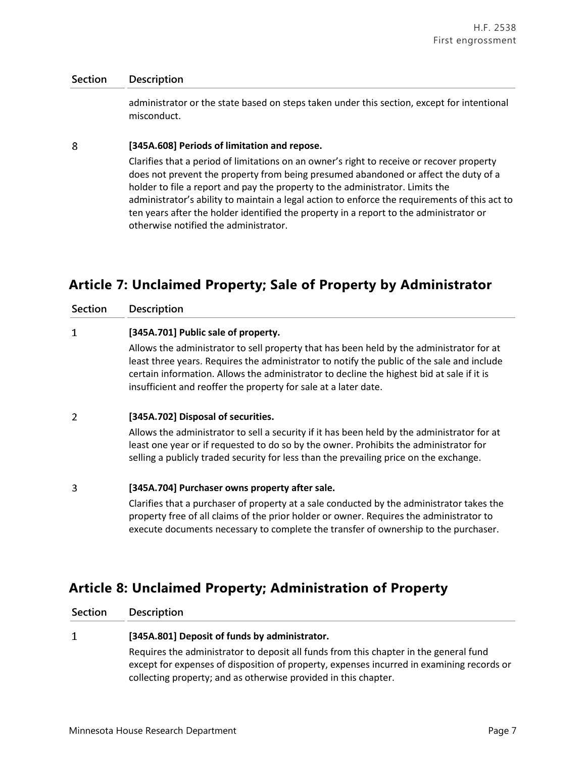administrator or the state based on steps taken under this section, except for intentional misconduct.

#### 8 **[345A.608] Periods of limitation and repose.**

Clarifies that a period of limitations on an owner's right to receive or recover property does not prevent the property from being presumed abandoned or affect the duty of a holder to file a report and pay the property to the administrator. Limits the administrator's ability to maintain a legal action to enforce the requirements of this act to ten years after the holder identified the property in a report to the administrator or otherwise notified the administrator.

## **Article 7: Unclaimed Property; Sale of Property by Administrator**

|  | <b>Section</b> | <b>Description</b> |
|--|----------------|--------------------|
|--|----------------|--------------------|

#### $\mathbf{1}$ **[345A.701] Public sale of property.**

Allows the administrator to sell property that has been held by the administrator for at least three years. Requires the administrator to notify the public of the sale and include certain information. Allows the administrator to decline the highest bid at sale if it is insufficient and reoffer the property for sale at a later date.

#### $\overline{2}$ **[345A.702] Disposal of securities.**

Allows the administrator to sell a security if it has been held by the administrator for at least one year or if requested to do so by the owner. Prohibits the administrator for selling a publicly traded security for less than the prevailing price on the exchange.

#### 3 **[345A.704] Purchaser owns property after sale.**

Clarifies that a purchaser of property at a sale conducted by the administrator takes the property free of all claims of the prior holder or owner. Requires the administrator to execute documents necessary to complete the transfer of ownership to the purchaser.

## **Article 8: Unclaimed Property; Administration of Property**

**Section Description**

 $\mathbf{1}$ 

## **[345A.801] Deposit of funds by administrator.**

Requires the administrator to deposit all funds from this chapter in the general fund except for expenses of disposition of property, expenses incurred in examining records or collecting property; and as otherwise provided in this chapter.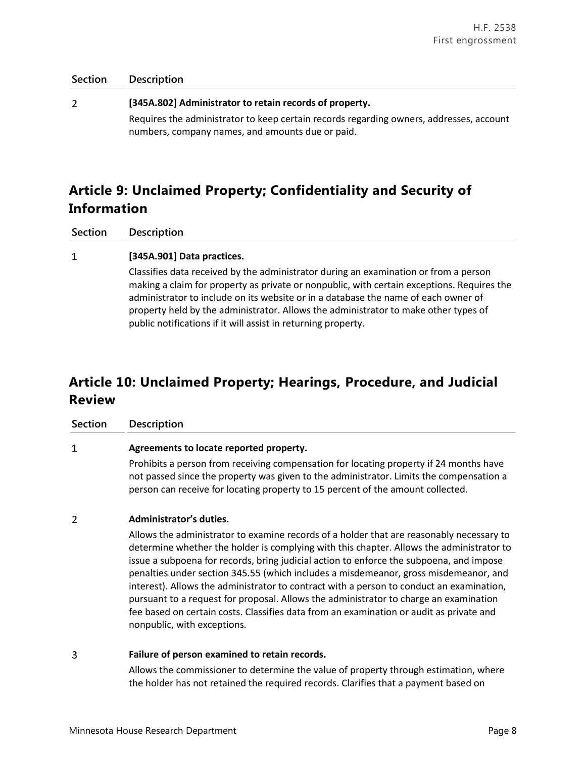| Section | Description                                                                                                                                 |
|---------|---------------------------------------------------------------------------------------------------------------------------------------------|
|         | [345A.802] Administrator to retain records of property.                                                                                     |
|         | Requires the administrator to keep certain records regarding owners, addresses, account<br>numbers, company names, and amounts due or paid. |

# **Article 9: Unclaimed Property; Confidentiality and Security of Information**

**Section Description**

#### $\mathbf{1}$ **[345A.901] Data practices.**

Classifies data received by the administrator during an examination or from a person making a claim for property as private or nonpublic, with certain exceptions. Requires the administrator to include on its website or in a database the name of each owner of property held by the administrator. Allows the administrator to make other types of public notifications if it will assist in returning property.

# **Article 10: Unclaimed Property; Hearings, Procedure, and Judicial Review**

**Section Description**

 $\mathbf{1}$ 

## **Agreements to locate reported property.**

Prohibits a person from receiving compensation for locating property if 24 months have not passed since the property was given to the administrator. Limits the compensation a person can receive for locating property to 15 percent of the amount collected.

#### $\overline{2}$ **Administrator's duties.**

Allows the administrator to examine records of a holder that are reasonably necessary to determine whether the holder is complying with this chapter. Allows the administrator to issue a subpoena for records, bring judicial action to enforce the subpoena, and impose penalties under section 345.55 (which includes a misdemeanor, gross misdemeanor, and interest). Allows the administrator to contract with a person to conduct an examination, pursuant to a request for proposal. Allows the administrator to charge an examination fee based on certain costs. Classifies data from an examination or audit as private and nonpublic, with exceptions.

#### 3 **Failure of person examined to retain records.**

Allows the commissioner to determine the value of property through estimation, where the holder has not retained the required records. Clarifies that a payment based on